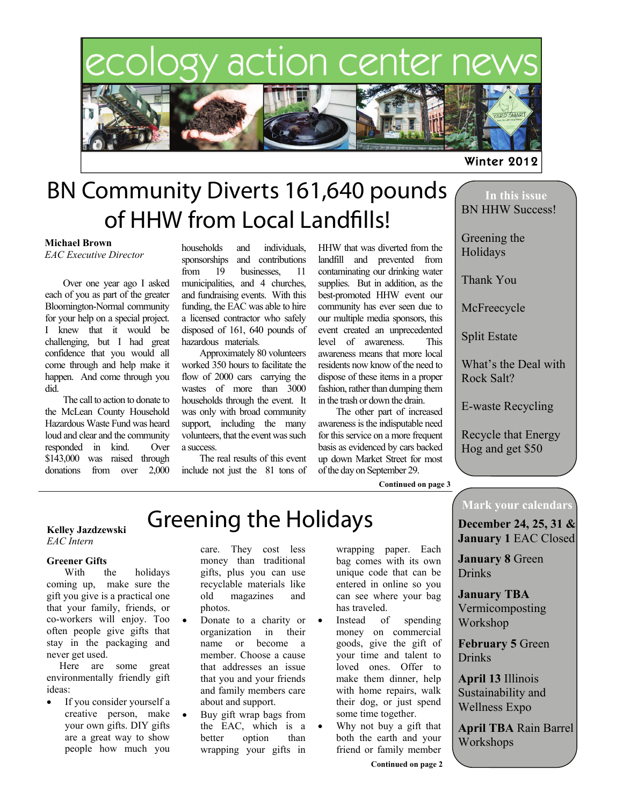# ecology action center ne



# BN Community Diverts 161,640 pounds of HHW from Local Landfills!

#### **Michael Brown**

*EAC Executive Director*

 Over one year ago I asked each of you as part of the greater Bloomington-Normal community for your help on a special project. I knew that it would be challenging, but I had great confidence that you would all come through and help make it happen. And come through you did.

 The call to action to donate to the McLean County Household Hazardous Waste Fund was heard loud and clear and the community responded in kind. Over \$143,000 was raised through donations from over 2,000

households and individuals, sponsorships and contributions from 19 businesses, 11 municipalities, and 4 churches, and fundraising events. With this funding, the EAC was able to hire a licensed contractor who safely disposed of 161, 640 pounds of hazardous materials.

 Approximately 80 volunteers worked 350 hours to facilitate the flow of 2000 cars carrying the wastes of more than 3000 households through the event. It was only with broad community support, including the many volunteers, that the event was such a success.

 The real results of this event include not just the 81 tons of HHW that was diverted from the landfill and prevented from contaminating our drinking water supplies. But in addition, as the best-promoted HHW event our community has ever seen due to our multiple media sponsors, this event created an unprecedented level of awareness. This awareness means that more local residents now know of the need to dispose of these items in a proper fashion, rather than dumping them in the trash or down the drain.

 The other part of increased awareness is the indisputable need for this service on a more frequent basis as evidenced by cars backed up down Market Street for most of the day on September 29.

**Continued on page 3** 

### **In this issue**  BN HHW Success!

Winter 2012

Greening the Holidays

Thank You

McFreecycle

Split Estate

What's the Deal with Rock Salt?

E-waste Recycling

Recycle that Energy Hog and get \$50

#### **Kelley Jazdzewski** *EAC Intern*

#### **Greener Gifts**

 With the holidays coming up, make sure the gift you give is a practical one that your family, friends, or co-workers will enjoy. Too often people give gifts that stay in the packaging and never get used.

 Here are some great environmentally friendly gift ideas:

 If you consider yourself a creative person, make your own gifts. DIY gifts are a great way to show people how much you

care. They cost less money than traditional gifts, plus you can use recyclable materials like old magazines and photos.

Greening the Holidays

- Donate to a charity or organization in their name or become a member. Choose a cause that addresses an issue that you and your friends and family members care about and support.
- Buy gift wrap bags from the EAC, which is a better option than wrapping your gifts in

wrapping paper. Each bag comes with its own unique code that can be entered in online so you can see where your bag has traveled.

- Instead of spending money on commercial goods, give the gift of your time and talent to loved ones. Offer to make them dinner, help with home repairs, walk their dog, or just spend some time together.
- Why not buy a gift that both the earth and your friend or family member

### **Mark your calendars**

**December 24, 25, 31 & January 1** EAC Closed

**January 8** Green **Drinks** 

**January TBA**  Vermicomposting Workshop

**February 5** Green **Drinks** 

**April 13** Illinois Sustainability and Wellness Expo

**April TBA** Rain Barrel **Workshops**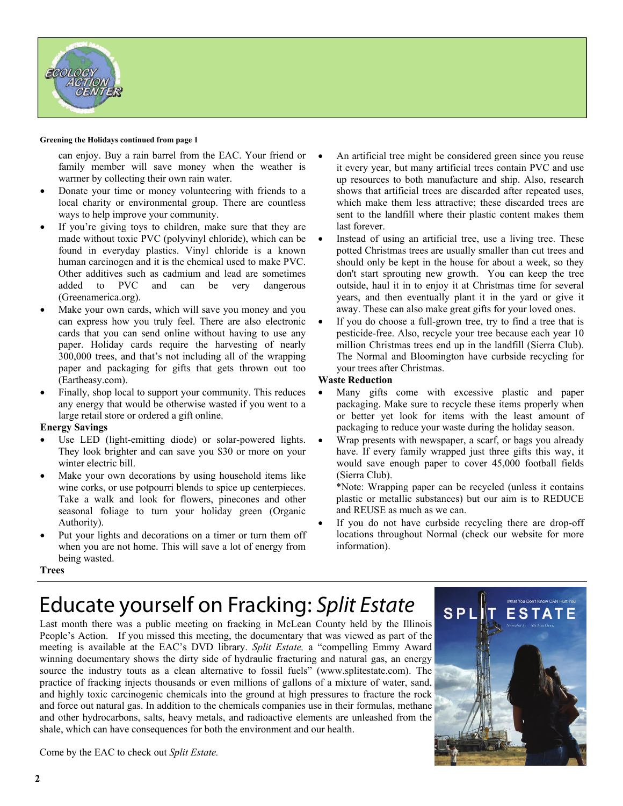

#### **Greening the Holidays continued from page 1**

can enjoy. Buy a rain barrel from the EAC. Your friend or family member will save money when the weather is warmer by collecting their own rain water.

- Donate your time or money volunteering with friends to a local charity or environmental group. There are countless ways to help improve your community.
- If you're giving toys to children, make sure that they are made without toxic PVC (polyvinyl chloride), which can be found in everyday plastics. Vinyl chloride is a known human carcinogen and it is the chemical used to make PVC. Other additives such as cadmium and lead are sometimes added to PVC and can be very dangerous (Greenamerica.org).
- Make your own cards, which will save you money and you can express how you truly feel. There are also electronic cards that you can send online without having to use any paper. Holiday cards require the harvesting of nearly 300,000 trees, and that's not including all of the wrapping paper and packaging for gifts that gets thrown out too (Eartheasy.com).
- Finally, shop local to support your community. This reduces any energy that would be otherwise wasted if you went to a large retail store or ordered a gift online.

#### **Energy Savings**

- Use LED (light-emitting diode) or solar-powered lights. They look brighter and can save you \$30 or more on your winter electric bill.
- Make your own decorations by using household items like wine corks, or use potpourri blends to spice up centerpieces. Take a walk and look for flowers, pinecones and other seasonal foliage to turn your holiday green (Organic Authority).
- Put your lights and decorations on a timer or turn them off when you are not home. This will save a lot of energy from being wasted.
- An artificial tree might be considered green since you reuse it every year, but many artificial trees contain PVC and use up resources to both manufacture and ship. Also, research shows that artificial trees are discarded after repeated uses, which make them less attractive; these discarded trees are sent to the landfill where their plastic content makes them last forever.
- Instead of using an artificial tree, use a living tree. These potted Christmas trees are usually smaller than cut trees and should only be kept in the house for about a week, so they don't start sprouting new growth. You can keep the tree outside, haul it in to enjoy it at Christmas time for several years, and then eventually plant it in the yard or give it away. These can also make great gifts for your loved ones.
- If you do choose a full-grown tree, try to find a tree that is pesticide-free. Also, recycle your tree because each year 10 million Christmas trees end up in the landfill (Sierra Club). The Normal and Bloomington have curbside recycling for your trees after Christmas.

#### **Waste Reduction**

- Many gifts come with excessive plastic and paper packaging. Make sure to recycle these items properly when or better yet look for items with the least amount of packaging to reduce your waste during the holiday season.
- Wrap presents with newspaper, a scarf, or bags you already have. If every family wrapped just three gifts this way, it would save enough paper to cover 45,000 football fields (Sierra Club).

\*Note: Wrapping paper can be recycled (unless it contains plastic or metallic substances) but our aim is to REDUCE and REUSE as much as we can.

 If you do not have curbside recycling there are drop-off locations throughout Normal (check our website for more information).

#### **Trees**

### Educate yourself on Fracking: Split Estate

Last month there was a public meeting on fracking in McLean County held by the Illinois People's Action. If you missed this meeting, the documentary that was viewed as part of the meeting is available at the EAC's DVD library. *Split Estate,* a "compelling Emmy Award winning documentary shows the dirty side of hydraulic fracturing and natural gas, an energy source the industry touts as a clean alternative to fossil fuels" (www.splitestate.com). The practice of fracking injects thousands or even millions of gallons of a mixture of water, sand, and highly toxic carcinogenic chemicals into the ground at high pressures to fracture the rock and force out natural gas. In addition to the chemicals companies use in their formulas, methane and other hydrocarbons, salts, heavy metals, and radioactive elements are unleashed from the shale, which can have consequences for both the environment and our health.



Come by the EAC to check out *Split Estate.*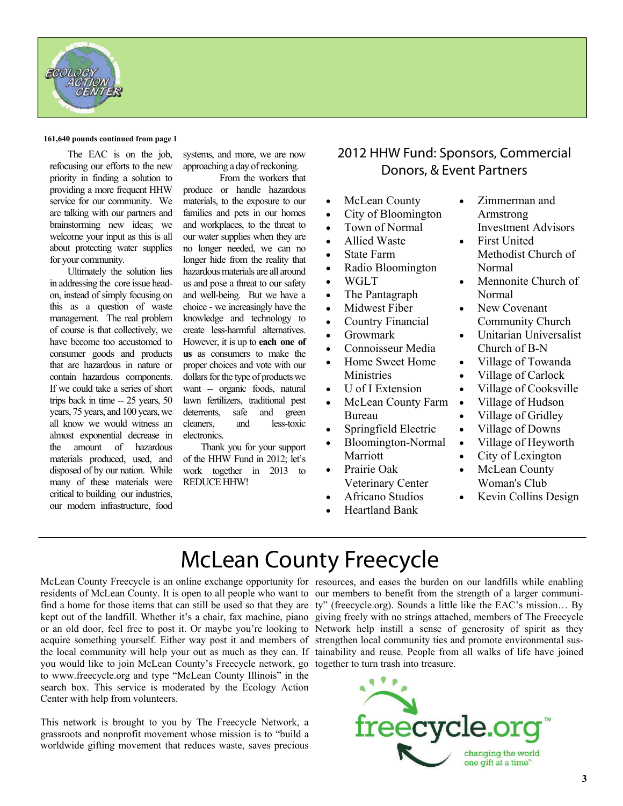

#### **161,640 pounds continued from page 1**

 The EAC is on the job, refocusing our efforts to the new priority in finding a solution to providing a more frequent HHW service for our community. We are talking with our partners and brainstorming new ideas; we welcome your input as this is all about protecting water supplies for your community.

 Ultimately the solution lies in addressing the core issue headon, instead of simply focusing on this as a question of waste management. The real problem of course is that collectively, we have become too accustomed to consumer goods and products that are hazardous in nature or contain hazardous components. If we could take a series of short trips back in time -- 25 years, 50 years, 75 years, and 100 years, we all know we would witness an almost exponential decrease in the amount of hazardous materials produced, used, and disposed of by our nation. While many of these materials were critical to building our industries, our modern infrastructure, food

systems, and more, we are now approaching a day of reckoning.

 From the workers that produce or handle hazardous materials, to the exposure to our families and pets in our homes and workplaces, to the threat to our water supplies when they are no longer needed, we can no longer hide from the reality that hazardous materials are all around us and pose a threat to our safety and well-being. But we have a choice - we increasingly have the knowledge and technology to create less-harmful alternatives. However, it is up to **each one of us** as consumers to make the proper choices and vote with our dollars for the type of products we want -- organic foods, natural lawn fertilizers, traditional pest deterrents, safe and green cleaners, and less-toxic electronics.

 Thank you for your support of the HHW Fund in 2012; let's work together in 2013 to REDUCE HHW!

### 2012 HHW Fund: Sponsors, Commercial Donors, & Event Partners

- McLean County
- City of Bloomington
- Town of Normal
- Allied Waste
- State Farm
- Radio Bloomington
- WGLT
- The Pantagraph
- Midwest Fiber
- Country Financial
- Growmark
- Connoisseur Media
- Home Sweet Home Ministries
- U of I Extension
- McLean County Farm Bureau
- Springfield Electric
- Bloomington-Normal Marriott
- Prairie Oak Veterinary Center
- Africano Studios
- Heartland Bank
- Zimmerman and Armstrong Investment Advisors
- First United Methodist Church of Normal
- Mennonite Church of Normal
- New Covenant Community Church
- Unitarian Universalist Church of B-N
- Village of Towanda
- Village of Carlock
- Village of Cooksville
- Village of Hudson
- Village of Gridley
- Village of Downs
- Village of Heyworth
- City of Lexington
- McLean County Woman's Club
- Kevin Collins Design

### McLean County Freecycle

residents of McLean County. It is open to all people who want to our members to benefit from the strength of a larger communiacquire something yourself. Either way post it and members of strengthen local community ties and promote environmental susyou would like to join McLean County's Freecycle network, go together to turn trash into treasure. to www.freecycle.org and type "McLean County Illinois" in the search box. This service is moderated by the Ecology Action Center with help from volunteers.

This network is brought to you by The Freecycle Network, a grassroots and nonprofit movement whose mission is to "build a worldwide gifting movement that reduces waste, saves precious

McLean County Freecycle is an online exchange opportunity for resources, and eases the burden on our landfills while enabling find a home for those items that can still be used so that they are ty" (freecycle.org). Sounds a little like the EAC's mission... By kept out of the landfill. Whether it's a chair, fax machine, piano giving freely with no strings attached, members of The Freecycle or an old door, feel free to post it. Or maybe you're looking to Network help instill a sense of generosity of spirit as they the local community will help your out as much as they can. If tainability and reuse. People from all walks of life have joined

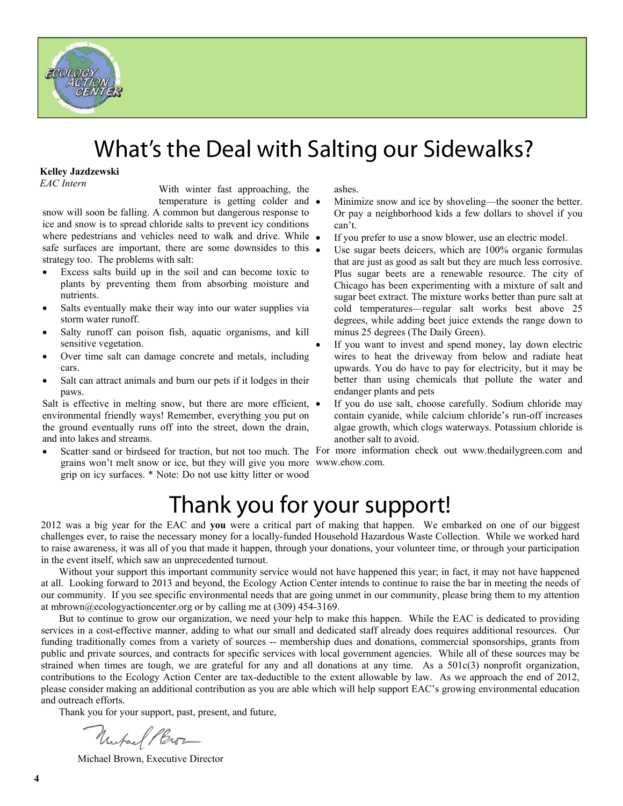

## What's the Deal with Salting our Sidewalks?

#### **Kelley Jazdzewski**

*EAC Intern*

With winter fast approaching, the temperature is getting colder and

snow will soon be falling. A common but dangerous response to ice and snow is to spread chloride salts to prevent icy conditions where pedestrians and vehicles need to walk and drive. While  $\bullet$ safe surfaces are important, there are some downsides to this • strategy too. The problems with salt:

- Excess salts build up in the soil and can become toxic to plants by preventing them from absorbing moisture and nutrients.
- Salts eventually make their way into our water supplies via storm water runoff.
- Salty runoff can poison fish, aquatic organisms, and kill sensitive vegetation.
- Over time salt can damage concrete and metals, including cars.
- Salt can attract animals and burn our pets if it lodges in their paws.

Salt is effective in melting snow, but there are more efficient,  $\bullet$ environmental friendly ways! Remember, everything you put on the ground eventually runs off into the street, down the drain, and into lakes and streams.

• Scatter sand or birdseed for traction, but not too much. The For more information check out www.thedailygreen.com and grains won't melt snow or ice, but they will give you more www.ehow.com. grip on icy surfaces. \* Note: Do not use kitty litter or wood

ashes.

- Minimize snow and ice by shoveling—the sooner the better. Or pay a neighborhood kids a few dollars to shovel if you can't.
- If you prefer to use a snow blower, use an electric model.
- Use sugar beets deicers, which are 100% organic formulas that are just as good as salt but they are much less corrosive. Plus sugar beets are a renewable resource. The city of Chicago has been experimenting with a mixture of salt and sugar beet extract. The mixture works better than pure salt at cold temperatures—regular salt works best above 25 degrees, while adding beet juice extends the range down to minus 25 degrees (The Daily Green).
- If you want to invest and spend money, lay down electric wires to heat the driveway from below and radiate heat upwards. You do have to pay for electricity, but it may be better than using chemicals that pollute the water and endanger plants and pets
- If you do use salt, choose carefully. Sodium chloride may contain cyanide, while calcium chloride's run-off increases algae growth, which clogs waterways. Potassium chloride is another salt to avoid.

# Thank you for your support!

2012 was a big year for the EAC and **you** were a critical part of making that happen. We embarked on one of our biggest challenges ever, to raise the necessary money for a locally-funded Household Hazardous Waste Collection. While we worked hard to raise awareness, it was all of you that made it happen, through your donations, your volunteer time, or through your participation in the event itself, which saw an unprecedented turnout.

 Without your support this important community service would not have happened this year; in fact, it may not have happened at all. Looking forward to 2013 and beyond, the Ecology Action Center intends to continue to raise the bar in meeting the needs of our community. If you see specific environmental needs that are going unmet in our community, please bring them to my attention at mbrown@ecologyactioncenter.org or by calling me at  $(309)$  454-3169.

 But to continue to grow our organization, we need your help to make this happen. While the EAC is dedicated to providing services in a cost-effective manner, adding to what our small and dedicated staff already does requires additional resources. Our funding traditionally comes from a variety of sources -- membership dues and donations, commercial sponsorships, grants from public and private sources, and contracts for specific services with local government agencies. While all of these sources may be strained when times are tough, we are grateful for any and all donations at any time. As a  $501c(3)$  nonprofit organization, contributions to the Ecology Action Center are tax-deductible to the extent allowable by law. As we approach the end of 2012, please consider making an additional contribution as you are able which will help support EAC's growing environmental education and outreach efforts.

Thank you for your support, past, present, and future,

Uniface Pleror

Michael Brown, Executive Director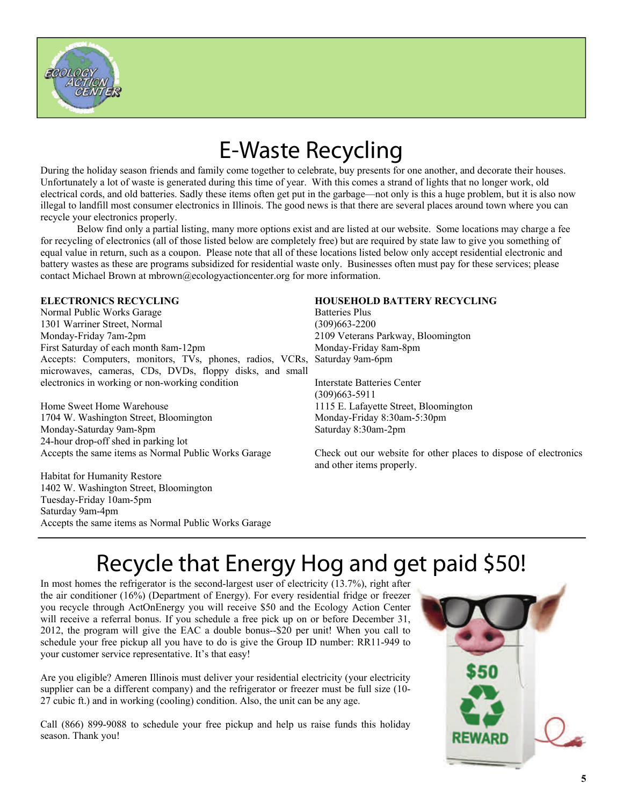

# E-Waste Recycling

During the holiday season friends and family come together to celebrate, buy presents for one another, and decorate their houses. Unfortunately a lot of waste is generated during this time of year. With this comes a strand of lights that no longer work, old electrical cords, and old batteries. Sadly these items often get put in the garbage—not only is this a huge problem, but it is also now illegal to landfill most consumer electronics in Illinois. The good news is that there are several places around town where you can recycle your electronics properly.

 Below find only a partial listing, many more options exist and are listed at our website. Some locations may charge a fee for recycling of electronics (all of those listed below are completely free) but are required by state law to give you something of equal value in return, such as a coupon. Please note that all of these locations listed below only accept residential electronic and battery wastes as these are programs subsidized for residential waste only. Businesses often must pay for these services; please contact Michael Brown at mbrown@ecologyactioncenter.org for more information.

#### **ELECTRONICS RECYCLING**

Normal Public Works Garage 1301 Warriner Street, Normal Monday-Friday 7am-2pm First Saturday of each month 8am-12pm Accepts: Computers, monitors, TVs, phones, radios, VCRs, microwaves, cameras, CDs, DVDs, floppy disks, and small electronics in working or non-working condition

Home Sweet Home Warehouse 1704 W. Washington Street, Bloomington Monday-Saturday 9am-8pm 24-hour drop-off shed in parking lot Accepts the same items as Normal Public Works Garage

Habitat for Humanity Restore 1402 W. Washington Street, Bloomington Tuesday-Friday 10am-5pm Saturday 9am-4pm Accepts the same items as Normal Public Works Garage

#### **HOUSEHOLD BATTERY RECYCLING**

Batteries Plus (309)663-2200 2109 Veterans Parkway, Bloomington Monday-Friday 8am-8pm Saturday 9am-6pm

Interstate Batteries Center (309)663-5911 1115 E. Lafayette Street, Bloomington Monday-Friday 8:30am-5:30pm Saturday 8:30am-2pm

Check out our website for other places to dispose of electronics and other items properly.

## Recycle that Energy Hog and get paid \$50!

In most homes the refrigerator is the second-largest user of electricity (13.7%), right after the air conditioner (16%) (Department of Energy). For every residential fridge or freezer you recycle through ActOnEnergy you will receive \$50 and the Ecology Action Center will receive a referral bonus. If you schedule a free pick up on or before December 31, 2012, the program will give the EAC a double bonus--\$20 per unit! When you call to schedule your free pickup all you have to do is give the Group ID number: RR11-949 to your customer service representative. It's that easy!

Are you eligible? Ameren Illinois must deliver your residential electricity (your electricity supplier can be a different company) and the refrigerator or freezer must be full size (10- 27 cubic ft.) and in working (cooling) condition. Also, the unit can be any age.

Call (866) 899-9088 to schedule your free pickup and help us raise funds this holiday season. Thank you!